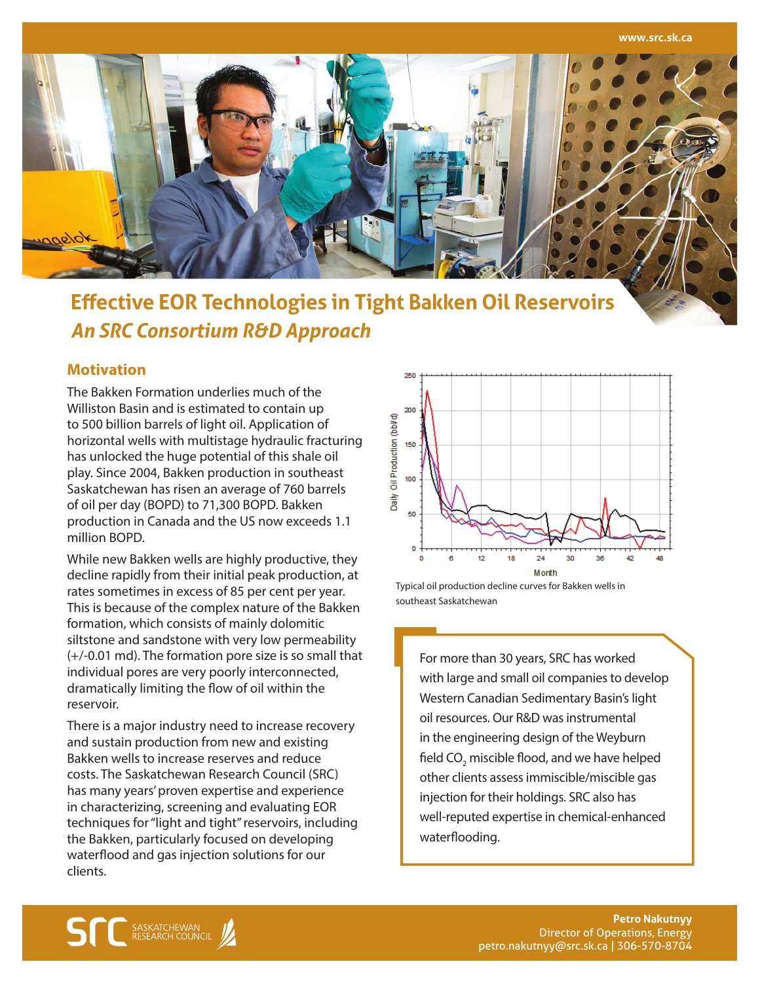

# **Effective EOR Technologies in Tight Bakken Oil Reservoirs** *An SRC Consortium R&D Approach*

## **Motivation**

The Bakken Formation underlies much of the Williston Basin and is estimated to contain up to 500 billion barrels of light oil. Application of horizontal wells with multistage hydraulic fracturing has unlocked the huge potential of this shale oil play. Since 2004, Bakken production in southeast Saskatchewan has risen an average of 760 barrels of oil per day (BOPD) to 71,300 BOPD. Bakken production in Canada and the US now exceeds 1.1 million BOPD.

While new Bakken wells are highly productive, they decline rapidly from their initial peak production, at rates sometimes in excess of 85 per cent per year. This is because of the complex nature of the Bakken formation, which consists of mainly dolomitic siltstone and sandstone with very low permeability (+/-0.01 md). The formation pore size is so small that individual pores are very poorly interconnected, dramatically limiting the flow of oil within the reservoir.

There is a major industry need to increase recovery and sustain production from new and existing Bakken wells to increase reserves and reduce costs. The Saskatchewan Research Council (SRC) has many years' proven expertise and experience in characterizing, screening and evaluating EOR techniques for "light and tight" reservoirs, including the Bakken, particularly focused on developing waterflood and gas injection solutions for our clients.



Typical oil production decline curves for Bakken wells in southeast Saskatchewan

For more than 30 years, SRC has worked with large and small oil companies to develop Western Canadian Sedimentary Basin's light oil resources. Our R&D was instrumental in the engineering design of the Weyburn field CO<sub>2</sub> miscible flood, and we have helped other clients assess immiscible/miscible gas injection for their holdings. SRC also has well-reputed expertise in chemical-enhanced waterflooding.

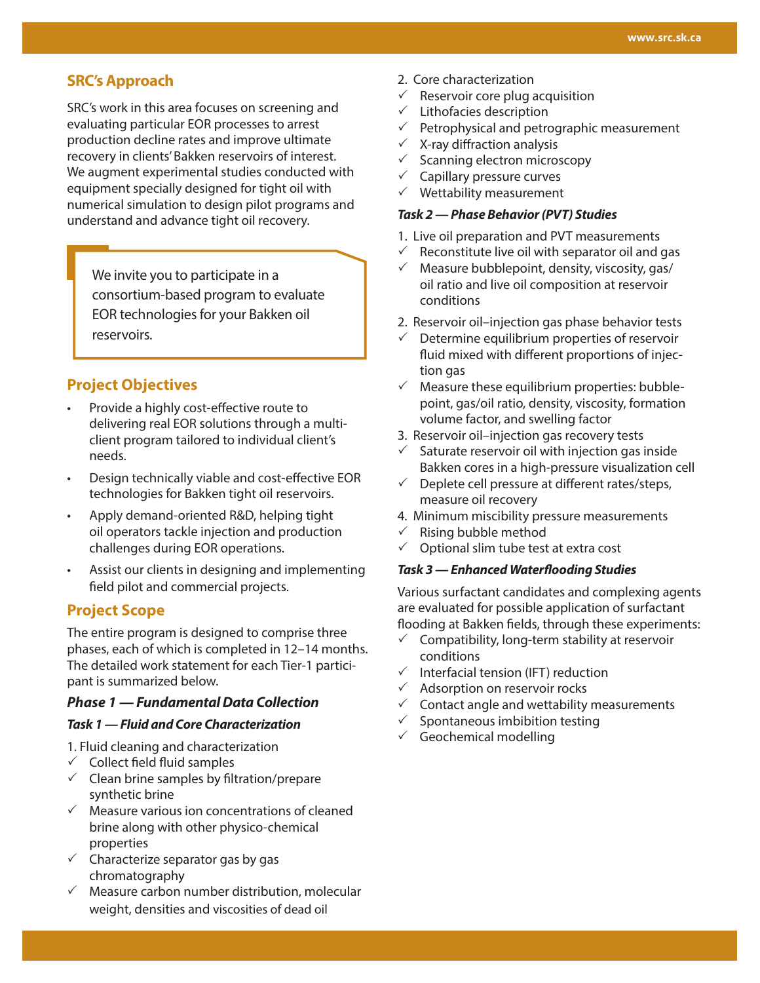# **SRC's Approach**

SRC's work in this area focuses on screening and evaluating particular EOR processes to arrest production decline rates and improve ultimate recovery in clients' Bakken reservoirs of interest. We augment experimental studies conducted with equipment specially designed for tight oil with numerical simulation to design pilot programs and understand and advance tight oil recovery.

We invite you to participate in a consortium-based program to evaluate EOR technologies for your Bakken oil reservoirs.

# **Project Objectives**

- Provide a highly cost-effective route to delivering real EOR solutions through a multiclient program tailored to individual client's needs.
- Design technically viable and cost-effective EOR technologies for Bakken tight oil reservoirs.
- Apply demand-oriented R&D, helping tight oil operators tackle injection and production challenges during EOR operations.
- Assist our clients in designing and implementing field pilot and commercial projects.

## **Project Scope**

The entire program is designed to comprise three phases, each of which is completed in 12–14 months. The detailed work statement for each Tier-1 participant is summarized below.

## *Phase 1 — Fundamental Data Collection*

## *Task 1 — Fluid and Core Characterization*

- 1. Fluid cleaning and characterization
- $\checkmark$  Collect field fluid samples
- $\checkmark$  Clean brine samples by filtration/prepare synthetic brine
- $\checkmark$  Measure various ion concentrations of cleaned brine along with other physico-chemical properties
- $\checkmark$  Characterize separator gas by gas chromatography
- $\checkmark$  Measure carbon number distribution, molecular weight, densities and viscosities of dead oil
- 2. Core characterization
- $\checkmark$  Reservoir core plug acquisition
- $\checkmark$  Lithofacies description
- $\checkmark$  Petrophysical and petrographic measurement
- $\times$  X-ray diffraction analysis
- $\checkmark$  Scanning electron microscopy
- $\checkmark$  Capillary pressure curves
- $\checkmark$  Wettability measurement

## *Task 2 — Phase Behavior (PVT) Studies*

- 1. Live oil preparation and PVT measurements
- $\checkmark$  Reconstitute live oil with separator oil and gas
- $\checkmark$  Measure bubblepoint, density, viscosity, gas/ oil ratio and live oil composition at reservoir conditions
- 2. Reservoir oil–injection gas phase behavior tests
- Determine equilibrium properties of reservoir fluid mixed with different proportions of injection gas
- $\checkmark$  Measure these equilibrium properties: bubblepoint, gas/oil ratio, density, viscosity, formation volume factor, and swelling factor
- 3. Reservoir oil–injection gas recovery tests
- $\checkmark$  Saturate reservoir oil with injection gas inside Bakken cores in a high-pressure visualization cell
- $\checkmark$  Deplete cell pressure at different rates/steps, measure oil recovery
- 4. Minimum miscibility pressure measurements
- $\checkmark$  Rising bubble method
- $\checkmark$  Optional slim tube test at extra cost

#### *Task 3 — Enhanced Waterflooding Studies*

Various surfactant candidates and complexing agents are evaluated for possible application of surfactant flooding at Bakken fields, through these experiments:

- $\checkmark$  Compatibility, long-term stability at reservoir conditions
- $\checkmark$  Interfacial tension (IFT) reduction
- $\checkmark$  Adsorption on reservoir rocks
- $\checkmark$  Contact angle and wettability measurements
- $\checkmark$  Spontaneous imbibition testing
- $\checkmark$  Geochemical modelling